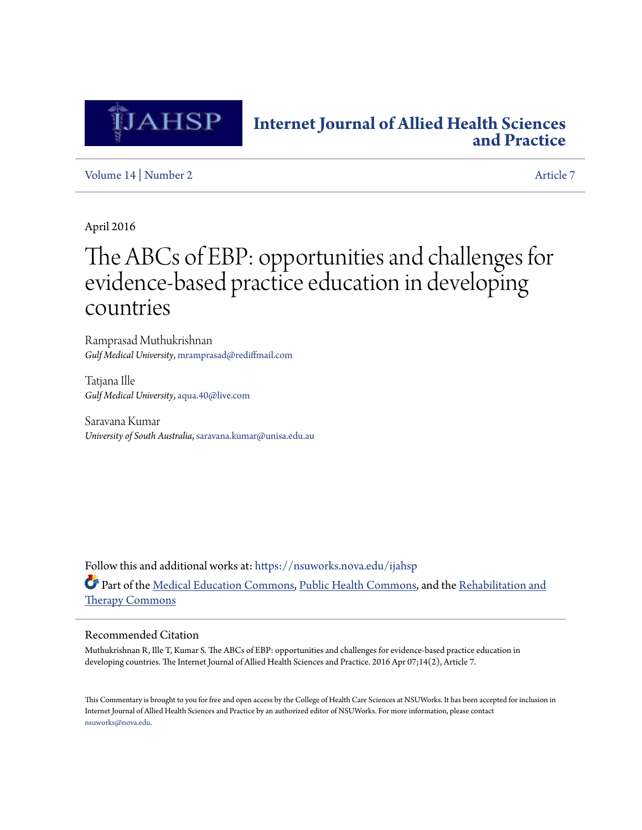

## **[Internet Journal of Allied Health Sciences](https://nsuworks.nova.edu/ijahsp?utm_source=nsuworks.nova.edu%2Fijahsp%2Fvol14%2Fiss2%2F7&utm_medium=PDF&utm_campaign=PDFCoverPages) [and Practice](https://nsuworks.nova.edu/ijahsp?utm_source=nsuworks.nova.edu%2Fijahsp%2Fvol14%2Fiss2%2F7&utm_medium=PDF&utm_campaign=PDFCoverPages)**

[Volume 14](https://nsuworks.nova.edu/ijahsp/vol14?utm_source=nsuworks.nova.edu%2Fijahsp%2Fvol14%2Fiss2%2F7&utm_medium=PDF&utm_campaign=PDFCoverPages) | [Number 2](https://nsuworks.nova.edu/ijahsp/vol14/iss2?utm_source=nsuworks.nova.edu%2Fijahsp%2Fvol14%2Fiss2%2F7&utm_medium=PDF&utm_campaign=PDFCoverPages) [Article 7](https://nsuworks.nova.edu/ijahsp/vol14/iss2/7?utm_source=nsuworks.nova.edu%2Fijahsp%2Fvol14%2Fiss2%2F7&utm_medium=PDF&utm_campaign=PDFCoverPages)

April 2016

# The ABCs of EBP: opportunities and challenges for evidence-based practice education in developing countries

Ramprasad Muthukrishnan *Gulf Medical University*, mramprasad@rediffmail.com

Tatjana Ille *Gulf Medical University*, aqua.40@live.com

Saravana Kumar *University of South Australia*, saravana.kumar@unisa.edu.au

Follow this and additional works at: [https://nsuworks.nova.edu/ijahsp](https://nsuworks.nova.edu/ijahsp?utm_source=nsuworks.nova.edu%2Fijahsp%2Fvol14%2Fiss2%2F7&utm_medium=PDF&utm_campaign=PDFCoverPages) Part of the [Medical Education Commons,](http://network.bepress.com/hgg/discipline/1125?utm_source=nsuworks.nova.edu%2Fijahsp%2Fvol14%2Fiss2%2F7&utm_medium=PDF&utm_campaign=PDFCoverPages) [Public Health Commons](http://network.bepress.com/hgg/discipline/738?utm_source=nsuworks.nova.edu%2Fijahsp%2Fvol14%2Fiss2%2F7&utm_medium=PDF&utm_campaign=PDFCoverPages), and the [Rehabilitation and](http://network.bepress.com/hgg/discipline/749?utm_source=nsuworks.nova.edu%2Fijahsp%2Fvol14%2Fiss2%2F7&utm_medium=PDF&utm_campaign=PDFCoverPages) [Therapy Commons](http://network.bepress.com/hgg/discipline/749?utm_source=nsuworks.nova.edu%2Fijahsp%2Fvol14%2Fiss2%2F7&utm_medium=PDF&utm_campaign=PDFCoverPages)

### Recommended Citation

Muthukrishnan R, Ille T, Kumar S. The ABCs of EBP: opportunities and challenges for evidence-based practice education in developing countries. The Internet Journal of Allied Health Sciences and Practice. 2016 Apr 07;14(2), Article 7.

This Commentary is brought to you for free and open access by the College of Health Care Sciences at NSUWorks. It has been accepted for inclusion in Internet Journal of Allied Health Sciences and Practice by an authorized editor of NSUWorks. For more information, please contact [nsuworks@nova.edu.](mailto:nsuworks@nova.edu)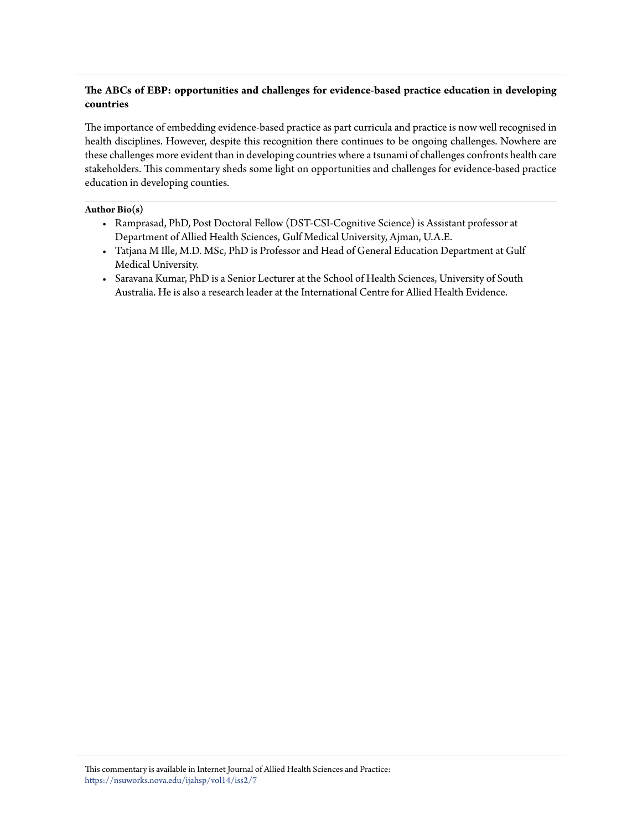### **The ABCs of EBP: opportunities and challenges for evidence-based practice education in developing countries**

The importance of embedding evidence-based practice as part curricula and practice is now well recognised in health disciplines. However, despite this recognition there continues to be ongoing challenges. Nowhere are these challenges more evident than in developing countries where a tsunami of challenges confronts health care stakeholders. This commentary sheds some light on opportunities and challenges for evidence-based practice education in developing counties.

#### **Author Bio(s)**

- Ramprasad, PhD, Post Doctoral Fellow (DST-CSI-Cognitive Science) is Assistant professor at Department of Allied Health Sciences, Gulf Medical University, Ajman, U.A.E.
- Tatjana M Ille, M.D. MSc, PhD is Professor and Head of General Education Department at Gulf Medical University.
- Saravana Kumar, PhD is a Senior Lecturer at the School of Health Sciences, University of South Australia. He is also a research leader at the International Centre for Allied Health Evidence.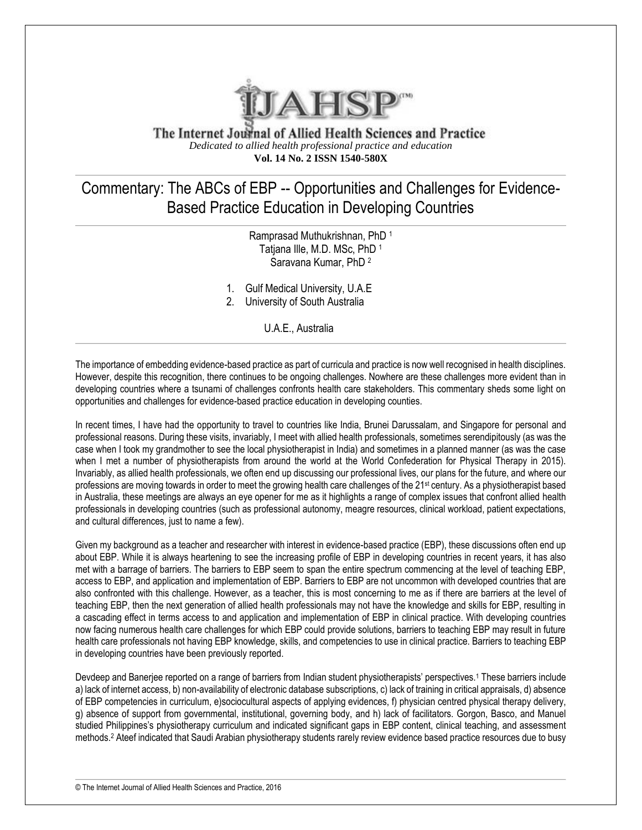

The Internet Journal of Allied Health Sciences and Practice *Dedicated to allied health professional practice and education* **Vol. 14 No. 2 ISSN 1540-580X**

## Commentary: The ABCs of EBP -- Opportunities and Challenges for Evidence-Based Practice Education in Developing Countries

Ramprasad Muthukrishnan, PhD <sup>1</sup> Tatiana Ille, M.D. MSc, PhD 1 Saravana Kumar, PhD <sup>2</sup>

- 1. Gulf Medical University, U.A.E
- 2. University of South Australia

U.A.E., Australia

The importance of embedding evidence-based practice as part of curricula and practice is now well recognised in health disciplines. However, despite this recognition, there continues to be ongoing challenges. Nowhere are these challenges more evident than in developing countries where a tsunami of challenges confronts health care stakeholders. This commentary sheds some light on opportunities and challenges for evidence-based practice education in developing counties.

In recent times, I have had the opportunity to travel to countries like India, Brunei Darussalam, and Singapore for personal and professional reasons. During these visits, invariably, I meet with allied health professionals, sometimes serendipitously (as was the case when I took my grandmother to see the local physiotherapist in India) and sometimes in a planned manner (as was the case when I met a number of physiotherapists from around the world at the World Confederation for Physical Therapy in 2015). Invariably, as allied health professionals, we often end up discussing our professional lives, our plans for the future, and where our professions are moving towards in order to meet the growing health care challenges of the 21<sup>st</sup> century. As a physiotherapist based in Australia, these meetings are always an eye opener for me as it highlights a range of complex issues that confront allied health professionals in developing countries (such as professional autonomy, meagre resources, clinical workload, patient expectations, and cultural differences, just to name a few).

Given my background as a teacher and researcher with interest in evidence-based practice (EBP), these discussions often end up about EBP. While it is always heartening to see the increasing profile of EBP in developing countries in recent years, it has also met with a barrage of barriers. The barriers to EBP seem to span the entire spectrum commencing at the level of teaching EBP, access to EBP, and application and implementation of EBP. Barriers to EBP are not uncommon with developed countries that are also confronted with this challenge. However, as a teacher, this is most concerning to me as if there are barriers at the level of teaching EBP, then the next generation of allied health professionals may not have the knowledge and skills for EBP, resulting in a cascading effect in terms access to and application and implementation of EBP in clinical practice. With developing countries now facing numerous health care challenges for which EBP could provide solutions, barriers to teaching EBP may result in future health care professionals not having EBP knowledge, skills, and competencies to use in clinical practice. Barriers to teaching EBP in developing countries have been previously reported.

Devdeep and Banerjee reported on a range of barriers from Indian student physiotherapists' perspectives.<sup>1</sup> These barriers include a) lack of internet access, b) non-availability of electronic database subscriptions, c) lack of training in critical appraisals, d) absence of EBP competencies in curriculum, e)sociocultural aspects of applying evidences, f) physician centred physical therapy delivery, g) absence of support from governmental, institutional, governing body, and h) lack of facilitators. Gorgon, Basco, and Manuel studied Philippines's physiotherapy curriculum and indicated significant gaps in EBP content, clinical teaching, and assessment methods.<sup>2</sup> Ateef indicated that Saudi Arabian physiotherapy students rarely review evidence based practice resources due to busy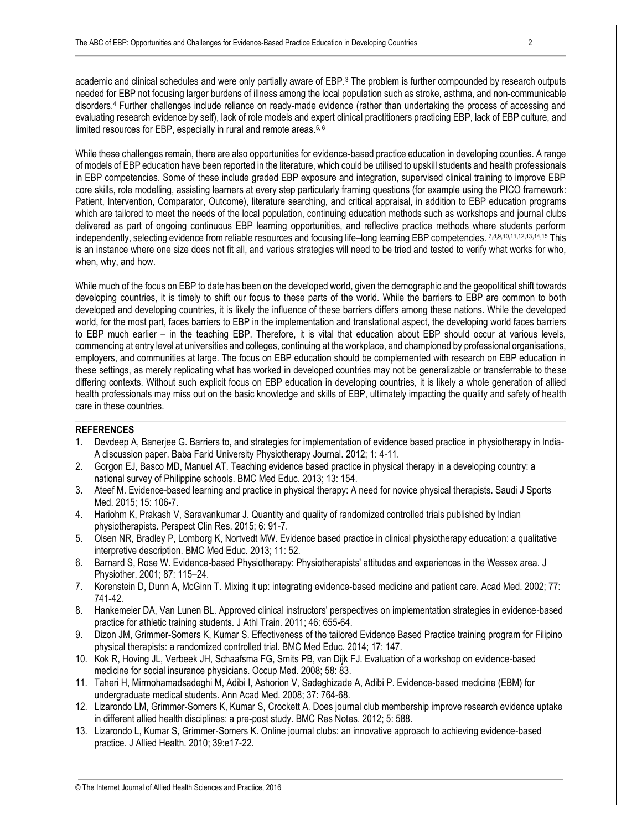academic and clinical schedules and were only partially aware of EBP.<sup>3</sup> The problem is further compounded by research outputs needed for EBP not focusing larger burdens of illness among the local population such as stroke, asthma, and non-communicable disorders.<sup>4</sup> Further challenges include reliance on ready-made evidence (rather than undertaking the process of accessing and evaluating research evidence by self), lack of role models and expert clinical practitioners practicing EBP, lack of EBP culture, and limited resources for EBP, especially in rural and remote areas.<sup>5, 6</sup>

While these challenges remain, there are also opportunities for evidence-based practice education in developing counties. A range of models of EBP education have been reported in the literature, which could be utilised to upskill students and health professionals in EBP competencies. Some of these include graded EBP exposure and integration, supervised clinical training to improve EBP core skills, role modelling, assisting learners at every step particularly framing questions (for example using the PICO framework: Patient, Intervention, Comparator, Outcome), literature searching, and critical appraisal, in addition to EBP education programs which are tailored to meet the needs of the local population, continuing education methods such as workshops and journal clubs delivered as part of ongoing continuous EBP learning opportunities, and reflective practice methods where students perform independently, selecting evidence from reliable resources and focusing life–long learning EBP competencies. 7,8,9,10,11,12,13,14,15 This is an instance where one size does not fit all, and various strategies will need to be tried and tested to verify what works for who, when, why, and how.

While much of the focus on EBP to date has been on the developed world, given the demographic and the geopolitical shift towards developing countries, it is timely to shift our focus to these parts of the world. While the barriers to EBP are common to both developed and developing countries, it is likely the influence of these barriers differs among these nations. While the developed world, for the most part, faces barriers to EBP in the implementation and translational aspect, the developing world faces barriers to EBP much earlier – in the teaching EBP. Therefore, it is vital that education about EBP should occur at various levels, commencing at entry level at universities and colleges, continuing at the workplace, and championed by professional organisations, employers, and communities at large. The focus on EBP education should be complemented with research on EBP education in these settings, as merely replicating what has worked in developed countries may not be generalizable or transferrable to these differing contexts. Without such explicit focus on EBP education in developing countries, it is likely a whole generation of allied health professionals may miss out on the basic knowledge and skills of EBP, ultimately impacting the quality and safety of health care in these countries.

#### **REFERENCES**

- 1. Devdeep A, Banerjee G. Barriers to, and strategies for implementation of evidence based practice in physiotherapy in India-A discussion paper. Baba Farid University Physiotherapy Journal. 2012; 1: 4-11.
- 2. Gorgon EJ, Basco MD, Manuel AT. Teaching evidence based practice in physical therapy in a developing country: a national survey of Philippine schools. BMC Med Educ. 2013; 13: 154.
- 3. Ateef M. Evidence-based learning and practice in physical therapy: A need for novice physical therapists. Saudi J Sports Med. 2015; 15: 106-7.
- 4. Hariohm K, Prakash V, Saravankumar J. Quantity and quality of randomized controlled trials published by Indian physiotherapists. Perspect Clin Res. 2015; 6: 91-7.
- 5. Olsen NR, Bradley P, Lomborg K, Nortvedt MW. Evidence based practice in clinical physiotherapy education: a qualitative interpretive description. BMC Med Educ. 2013; 11: 52.
- 6. Barnard S, Rose W. Evidence-based Physiotherapy: Physiotherapists' attitudes and experiences in the Wessex area. J Physiother. 2001; 87: 115–24.
- 7. Korenstein D, Dunn A, McGinn T. Mixing it up: integrating evidence-based medicine and patient care. Acad Med. 2002; 77: 741-42.
- 8. Hankemeier DA, Van Lunen BL. Approved clinical instructors' perspectives on implementation strategies in evidence-based practice for athletic training students. J Athl Train. 2011; 46: 655-64.
- 9. Dizon JM, Grimmer-Somers K, Kumar S. Effectiveness of the tailored Evidence Based Practice training program for Filipino physical therapists: a randomized controlled trial. BMC Med Educ. 2014; 17: 147.
- 10. Kok R, Hoving JL, Verbeek JH, Schaafsma FG, Smits PB, van Dijk FJ. Evaluation of a workshop on evidence-based medicine for social insurance physicians. Occup Med. 2008; 58: 83.
- 11. Taheri H, Mirmohamadsadeghi M, Adibi I, Ashorion V, Sadeghizade A, Adibi P. Evidence-based medicine (EBM) for undergraduate medical students. Ann Acad Med. 2008; 37: 764-68.
- 12. Lizarondo LM, Grimmer-Somers K, Kumar S, Crockett A. Does journal club membership improve research evidence uptake in different allied health disciplines: a pre-post study. BMC Res Notes. 2012; 5: 588.
- 13. Lizarondo L, Kumar S, Grimmer-Somers K. Online journal clubs: an innovative approach to achieving evidence-based practice. J Allied Health. 2010; 39:e17-22.